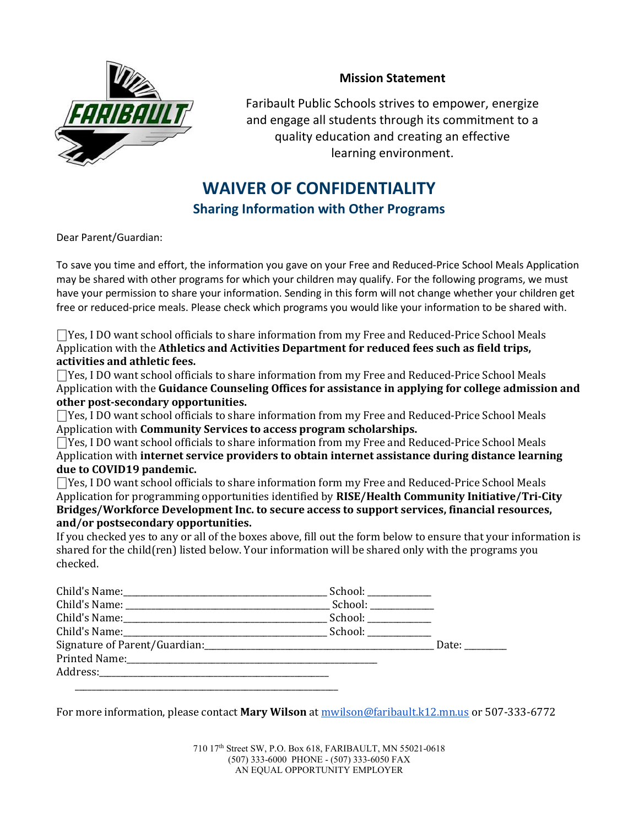

## Mission Statement

Faribault Public Schools strives to empower, energize and engage all students through its commitment to a quality education and creating an effective learning environment.

## WAIVER OF CONFIDENTIALITY

Sharing Information with Other Programs

Dear Parent/Guardian:

To save you time and effort, the information you gave on your Free and Reduced-Price School Meals Application may be shared with other programs for which your children may qualify. For the following programs, we must have your permission to share your information. Sending in this form will not change whether your children get free or reduced-price meals. Please check which programs you would like your information to be shared with.

⎕Yes, I DO want school officials to share information from my Free and Reduced-Price School Meals Application with the Athletics and Activities Department for reduced fees such as field trips, activities and athletic fees.

⎕Yes, I DO want school officials to share information from my Free and Reduced-Price School Meals Application with the Guidance Counseling Offices for assistance in applying for college admission and other post-secondary opportunities.

 $\Box$ Yes, I DO want school officials to share information from my Free and Reduced-Price School Meals Application with Community Services to access program scholarships.

⎕Yes, I DO want school officials to share information from my Free and Reduced-Price School Meals Application with internet service providers to obtain internet assistance during distance learning due to COVID19 pandemic.

⎕Yes, I DO want school officials to share information form my Free and Reduced-Price School Meals Application for programming opportunities identified by RISE/Health Community Initiative/Tri-City Bridges/Workforce Development Inc. to secure access to support services, financial resources, and/or postsecondary opportunities.

If you checked yes to any or all of the boxes above, fill out the form below to ensure that your information is shared for the child(ren) listed below. Your information will be shared only with the programs you checked.

| School: ____________                                                                                                                                                                                                           |       |
|--------------------------------------------------------------------------------------------------------------------------------------------------------------------------------------------------------------------------------|-------|
| School: and the set of the set of the set of the set of the set of the set of the set of the set of the set of the set of the set of the set of the set of the set of the set of the set of the set of the set of the set of t |       |
|                                                                                                                                                                                                                                |       |
| School: ____________                                                                                                                                                                                                           |       |
|                                                                                                                                                                                                                                | Date: |
|                                                                                                                                                                                                                                |       |
|                                                                                                                                                                                                                                |       |
|                                                                                                                                                                                                                                |       |

For more information, please contact Mary Wilson at mwilson@faribault.k12.mn.us or 507-333-6772